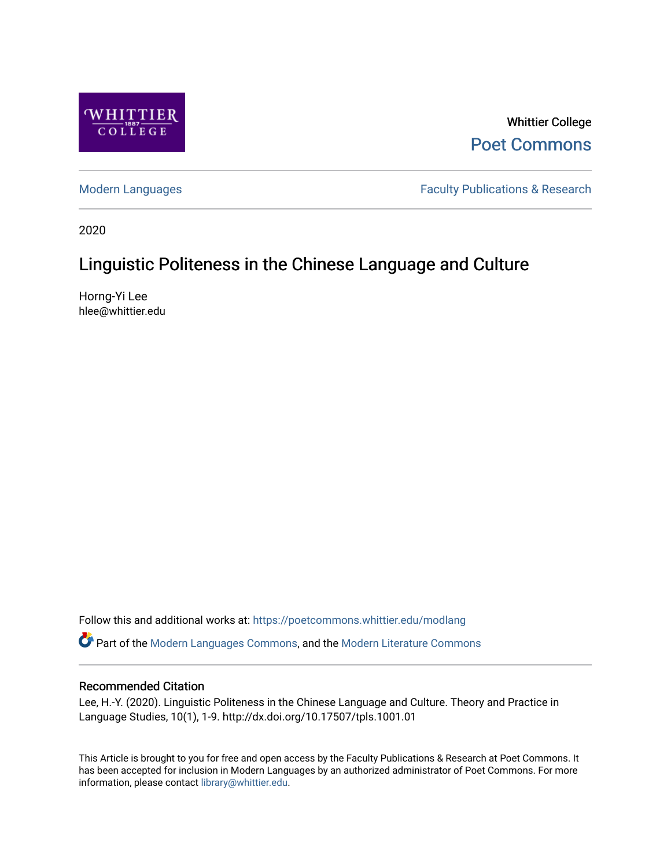

Whittier College [Poet Commons](https://poetcommons.whittier.edu/) 

[Modern Languages](https://poetcommons.whittier.edu/modlang) **Faculty Publications & Research** 

2020

# Linguistic Politeness in the Chinese Language and Culture

Horng-Yi Lee hlee@whittier.edu

Follow this and additional works at: [https://poetcommons.whittier.edu/modlang](https://poetcommons.whittier.edu/modlang?utm_source=poetcommons.whittier.edu%2Fmodlang%2F1&utm_medium=PDF&utm_campaign=PDFCoverPages)

Part of the [Modern Languages Commons,](http://network.bepress.com/hgg/discipline/1130?utm_source=poetcommons.whittier.edu%2Fmodlang%2F1&utm_medium=PDF&utm_campaign=PDFCoverPages) and the [Modern Literature Commons](http://network.bepress.com/hgg/discipline/1050?utm_source=poetcommons.whittier.edu%2Fmodlang%2F1&utm_medium=PDF&utm_campaign=PDFCoverPages)

## Recommended Citation

Lee, H.-Y. (2020). Linguistic Politeness in the Chinese Language and Culture. Theory and Practice in Language Studies, 10(1), 1-9. http://dx.doi.org/10.17507/tpls.1001.01

This Article is brought to you for free and open access by the Faculty Publications & Research at Poet Commons. It has been accepted for inclusion in Modern Languages by an authorized administrator of Poet Commons. For more information, please contact [library@whittier.edu.](mailto:library@whittier.edu)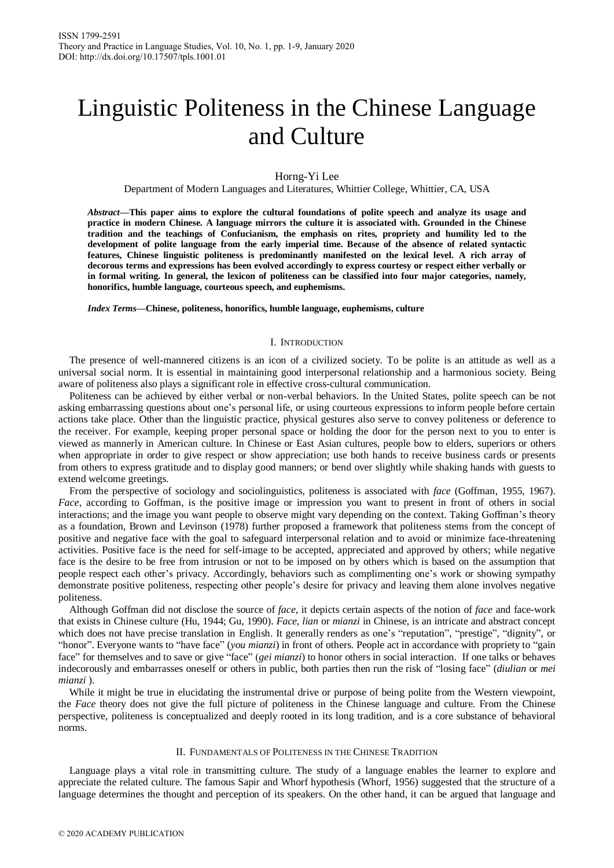# Linguistic Politeness in the Chinese Language and Culture

Horng-Yi Lee

Department of Modern Languages and Literatures, Whittier College, Whittier, CA, USA

*Abstract***—This paper aims to explore the cultural foundations of polite speech and analyze its usage and practice in modern Chinese. A language mirrors the culture it is associated with. Grounded in the Chinese tradition and the teachings of Confucianism, the emphasis on rites, propriety and humility led to the development of polite language from the early imperial time. Because of the absence of related syntactic features, Chinese linguistic politeness is predominantly manifested on the lexical level. A rich array of decorous terms and expressions has been evolved accordingly to express courtesy or respect either verbally or in formal writing. In general, the lexicon of politeness can be classified into four major categories, namely, honorifics, humble language, courteous speech, and euphemisms.** 

*Index Terms***—Chinese, politeness, honorifics, humble language, euphemisms, culture**

#### I. INTRODUCTION

The presence of well-mannered citizens is an icon of a civilized society. To be polite is an attitude as well as a universal social norm. It is essential in maintaining good interpersonal relationship and a harmonious society. Being aware of politeness also plays a significant role in effective cross-cultural communication.

Politeness can be achieved by either verbal or non-verbal behaviors. In the United States, polite speech can be not asking embarrassing questions about one's personal life, or using courteous expressions to inform people before certain actions take place. Other than the linguistic practice, physical gestures also serve to convey politeness or deference to the receiver. For example, keeping proper personal space or holding the door for the person next to you to enter is viewed as mannerly in American culture. In Chinese or East Asian cultures, people bow to elders, superiors or others when appropriate in order to give respect or show appreciation; use both hands to receive business cards or presents from others to express gratitude and to display good manners; or bend over slightly while shaking hands with guests to extend welcome greetings.

From the perspective of sociology and sociolinguistics, politeness is associated with *face* (Goffman, 1955, 1967). *Face*, according to Goffman, is the positive image or impression you want to present in front of others in social interactions; and the image you want people to observe might vary depending on the context. Taking Goffman's theory as a foundation, Brown and Levinson (1978) further proposed a framework that politeness stems from the concept of positive and negative face with the goal to safeguard interpersonal relation and to avoid or minimize face-threatening activities. Positive face is the need for self-image to be accepted, appreciated and approved by others; while negative face is the desire to be free from intrusion or not to be imposed on by others which is based on the assumption that people respect each other's privacy. Accordingly, behaviors such as complimenting one's work or showing sympathy demonstrate positive politeness, respecting other people's desire for privacy and leaving them alone involves negative politeness.

Although Goffman did not disclose the source of *face*, it depicts certain aspects of the notion of *face* and face-work that exists in Chinese culture (Hu, 1944; Gu, 1990). *Face*, *lian* or *mianzi* in Chinese, is an intricate and abstract concept which does not have precise translation in English. It generally renders as one's "reputation", "prestige", "dignity", or "honor". Everyone wants to "have face" (*you mianzi*) in front of others. People act in accordance with propriety to "gain face" for themselves and to save or give "face" (*gei mianzi*) to honor others in social interaction. If one talks or behaves indecorously and embarrasses oneself or others in public, both parties then run the risk of "losing face" (*diulian* or *mei mianzi* ).

While it might be true in elucidating the instrumental drive or purpose of being polite from the Western viewpoint, the *Face* theory does not give the full picture of politeness in the Chinese language and culture. From the Chinese perspective, politeness is conceptualized and deeply rooted in its long tradition, and is a core substance of behavioral norms.

#### II. FUNDAMENTALS OF POLITENESS IN THE CHINESE TRADITION

Language plays a vital role in transmitting culture. The study of a language enables the learner to explore and appreciate the related culture. The famous Sapir and Whorf hypothesis (Whorf, 1956) suggested that the structure of a language determines the thought and perception of its speakers. On the other hand, it can be argued that language and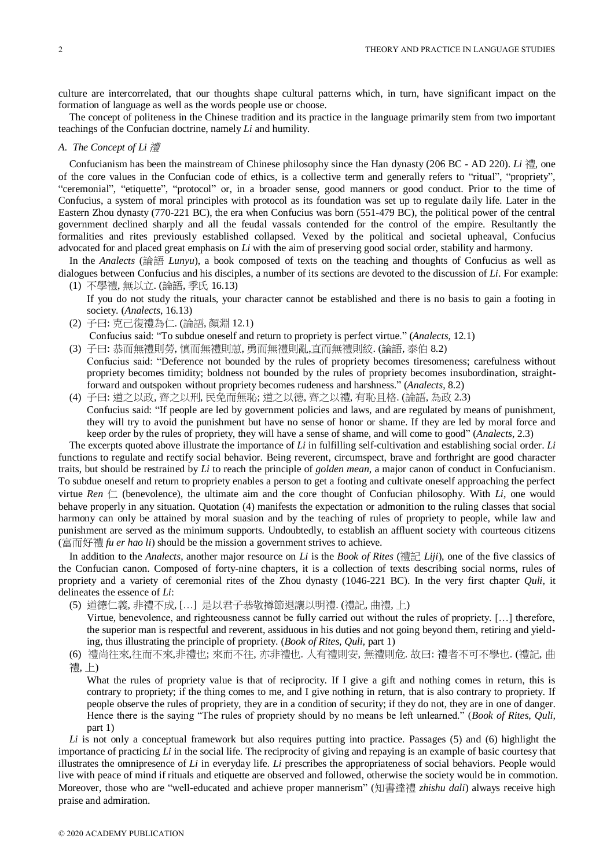culture are intercorrelated, that our thoughts shape cultural patterns which, in turn, have significant impact on the formation of language as well as the words people use or choose.

The concept of politeness in the Chinese tradition and its practice in the language primarily stem from two important teachings of the Confucian doctrine, namely *Li* and humility.

### *A. The Concept of Li* 禮

Confucianism has been the mainstream of Chinese philosophy since the Han dynasty (206 BC - AD 220). *Li* 禮, one of the core values in the Confucian code of ethics, is a collective term and generally refers to "ritual", "propriety", "ceremonial", "etiquette", "protocol" or, in a broader sense, good manners or good conduct. Prior to the time of Confucius, a system of moral principles with protocol as its foundation was set up to regulate daily life. Later in the Eastern Zhou dynasty (770-221 BC), the era when Confucius was born (551-479 BC), the political power of the central government declined sharply and all the feudal vassals contended for the control of the empire. Resultantly the formalities and rites previously established collapsed. Vexed by the political and societal upheaval, Confucius advocated for and placed great emphasis on *Li* with the aim of preserving good social order, stability and harmony.

In the *Analects* (論語 *Lunyu*), a book composed of texts on the teaching and thoughts of Confucius as well as dialogues between Confucius and his disciples, a number of its sections are devoted to the discussion of *Li*. For example: (1) 不學禮, 無以立. (論語, 季氏 16.13)

- If you do not study the rituals, your character cannot be established and there is no basis to gain a footing in society. (*Analects*, 16.13)
- (2) 子曰: 克己復禮為仁. (論語, 顏淵 12.1)

Confucius said: "To subdue oneself and return to propriety is perfect virtue." (*Analects*, 12.1)

- (3) 子曰: 恭而無禮則勞, 慎而無禮則葸, 勇而無禮則亂,直而無禮則絞. (論語, 泰伯 8.2) Confucius said: "Deference not bounded by the rules of propriety becomes tiresomeness; carefulness without propriety becomes timidity; boldness not bounded by the rules of propriety becomes insubordination, straightforward and outspoken without propriety becomes rudeness and harshness." (*Analects*, 8.2)
- (4) 子曰: 道之以政, 齊之以刑, 民免而無恥; 道之以德, 齊之以禮, 有恥且格. (論語, 為政 2.3) Confucius said: "If people are led by government policies and laws, and are regulated by means of punishment, they will try to avoid the punishment but have no sense of honor or shame. If they are led by moral force and keep order by the rules of propriety, they will have a sense of shame, and will come to good" (*Analects*, 2.3)

The excerpts quoted above illustrate the importance of *Li* in fulfilling self-cultivation and establishing social order. *Li* functions to regulate and rectify social behavior. Being reverent, circumspect, brave and forthright are good character traits, but should be restrained by *Li* to reach the principle of *golden mean*, a major canon of conduct in Confucianism. To subdue oneself and return to propriety enables a person to get a footing and cultivate oneself approaching the perfect virtue *Ren*  $\Box$  (benevolence), the ultimate aim and the core thought of Confucian philosophy. With *Li*, one would behave properly in any situation. Quotation (4) manifests the expectation or admonition to the ruling classes that social harmony can only be attained by moral suasion and by the teaching of rules of propriety to people, while law and punishment are served as the minimum supports. Undoubtedly, to establish an affluent society with courteous citizens (富而好禮 *fu er hao li*) should be the mission a government strives to achieve.

In addition to the *Analects*, another major resource on *Li* is the *Book of Rites* (禮記 *Liji*), one of the five classics of the Confucian canon. Composed of forty-nine chapters, it is a collection of texts describing social norms, rules of propriety and a variety of ceremonial rites of the Zhou dynasty (1046-221 BC). In the very first chapter *Quli,* it delineates the essence of *Li*:

(5) 道德仁義, 非禮不成, […] 是以君子恭敬撙節退讓以明禮. (禮記, 曲禮, 上)

Virtue, benevolence, and righteousness cannot be fully carried out without the rules of propriety. […] therefore, the superior man is respectful and reverent, assiduous in his duties and not going beyond them, retiring and yielding, thus illustrating the principle of propriety. (*Book of Rites*, *Quli,* part 1)

(6) 禮尚往來,往而不來,非禮也; 來而不往, 亦非禮也. 人有禮則安, 無禮則危. 故曰: 禮者不可不學也. (禮記, 曲

禮, 上)

What the rules of propriety value is that of reciprocity. If I give a gift and nothing comes in return, this is contrary to propriety; if the thing comes to me, and I give nothing in return, that is also contrary to propriety. If people observe the rules of propriety, they are in a condition of security; if they do not, they are in one of danger. Hence there is the saying "The rules of propriety should by no means be left unlearned." (*Book of Rites*, *Quli,* part 1)

*Li* is not only a conceptual framework but also requires putting into practice. Passages (5) and (6) highlight the importance of practicing *Li* in the social life. The reciprocity of giving and repaying is an example of basic courtesy that illustrates the omnipresence of *Li* in everyday life. *Li* prescribes the appropriateness of social behaviors. People would live with peace of mind if rituals and etiquette are observed and followed, otherwise the society would be in commotion. Moreover, those who are "well-educated and achieve proper mannerism" (知書達禮 *zhishu dali*) always receive high praise and admiration.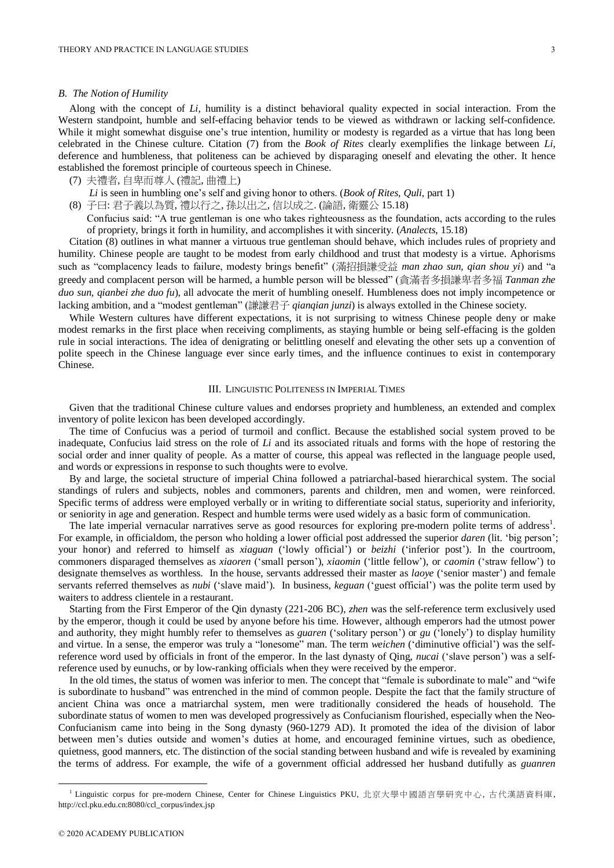#### *B. The Notion of Humility*

Along with the concept of *Li*, humility is a distinct behavioral quality expected in social interaction. From the Western standpoint, humble and self-effacing behavior tends to be viewed as withdrawn or lacking self-confidence. While it might somewhat disguise one's true intention, humility or modesty is regarded as a virtue that has long been celebrated in the Chinese culture. Citation (7) from the *Book of Rites* clearly exemplifies the linkage between *Li*, deference and humbleness, that politeness can be achieved by disparaging oneself and elevating the other. It hence established the foremost principle of courteous speech in Chinese.

```
(7) 夫禮者, 自卑而尊人 (禮記, 曲禮上)
```
- *Li* is seen in humbling one's self and giving honor to others. (*Book of Rites*, *Quli,* part 1)
- (8) 子曰: 君子義以為質, 禮以行之, 孫以出之, 信以成之. (論語, 衛靈公 15.18)
	- Confucius said: "A true gentleman is one who takes righteousness as the foundation, acts according to the rules of propriety, brings it forth in humility, and accomplishes it with sincerity. (*Analects*, 15.18)

Citation (8) outlines in what manner a virtuous true gentleman should behave, which includes rules of propriety and humility. Chinese people are taught to be modest from early childhood and trust that modesty is a virtue. Aphorisms such as "complacency leads to failure, modesty brings benefit" (滿招損謙受益 *man zhao sun, qian shou yi*) and "a greedy and complacent person will be harmed, a humble person will be blessed" (貪滿者多損謙卑者多福 *Tanman zhe duo sun, qianbei zhe duo fu*), all advocate the merit of humbling oneself. Humbleness does not imply incompetence or lacking ambition, and a "modest gentleman" (謙謙君子 *qianqian junzi*) is always extolled in the Chinese society.

While Western cultures have different expectations, it is not surprising to witness Chinese people deny or make modest remarks in the first place when receiving compliments, as staying humble or being self-effacing is the golden rule in social interactions. The idea of denigrating or belittling oneself and elevating the other sets up a convention of polite speech in the Chinese language ever since early times, and the influence continues to exist in contemporary Chinese.

#### III. LINGUISTIC POLITENESS IN IMPERIAL TIMES

Given that the traditional Chinese culture values and endorses propriety and humbleness, an extended and complex inventory of polite lexicon has been developed accordingly.

The time of Confucius was a period of turmoil and conflict. Because the established social system proved to be inadequate, Confucius laid stress on the role of *Li* and its associated rituals and forms with the hope of restoring the social order and inner quality of people. As a matter of course, this appeal was reflected in the language people used, and words or expressions in response to such thoughts were to evolve.

By and large, the societal structure of imperial China followed a patriarchal-based hierarchical system. The social standings of rulers and subjects, nobles and commoners, parents and children, men and women, were reinforced. Specific terms of address were employed verbally or in writing to differentiate social status, superiority and inferiority, or seniority in age and generation. Respect and humble terms were used widely as a basic form of communication.

The late imperial vernacular narratives serve as good resources for exploring pre-modern polite terms of address<sup>1</sup>. For example, in officialdom, the person who holding a lower official post addressed the superior *daren* (lit. 'big person'; your honor) and referred to himself as *xiaguan* ('lowly official') or *beizhi* ('inferior post'). In the courtroom, commoners disparaged themselves as *xiaoren* ('small person'), *xiaomin* ('little fellow'), or *caomin* ('straw fellow') to designate themselves as worthless. In the house, servants addressed their master as *laoye* ('senior master') and female servants referred themselves as *nubi* ('slave maid'). In business, *keguan* ('guest official') was the polite term used by waiters to address clientele in a restaurant.

Starting from the First Emperor of the Qin dynasty (221-206 BC), *zhen* was the self-reference term exclusively used by the emperor, though it could be used by anyone before his time. However, although emperors had the utmost power and authority, they might humbly refer to themselves as *guaren* ('solitary person') or *gu* ('lonely') to display humility and virtue. In a sense, the emperor was truly a "lonesome" man. The term *weichen* ('diminutive official') was the selfreference word used by officials in front of the emperor. In the last dynasty of Qing, *nucai* ('slave person') was a selfreference used by eunuchs, or by low-ranking officials when they were received by the emperor.

In the old times, the status of women was inferior to men. The concept that "female is subordinate to male" and "wife is subordinate to husband" was entrenched in the mind of common people. Despite the fact that the family structure of ancient China was once a matriarchal system, men were traditionally considered the heads of household. The subordinate status of women to men was developed progressively as Confucianism flourished, especially when the Neo-Confucianism came into being in the Song dynasty (960-1279 AD). It promoted the idea of the division of labor between men's duties outside and women's duties at home, and encouraged feminine virtues, such as obedience, quietness, good manners, etc. The distinction of the social standing between husband and wife is revealed by examining the terms of address. For example, the wife of a government official addressed her husband dutifully as *guanren*

1

<sup>1</sup> Linguistic corpus for pre-modern Chinese, Center for Chinese Linguistics PKU, 北京大學中國語言學研究中心, 古代漢語資料庫, http://ccl.pku.edu.cn:8080/ccl\_corpus/index.jsp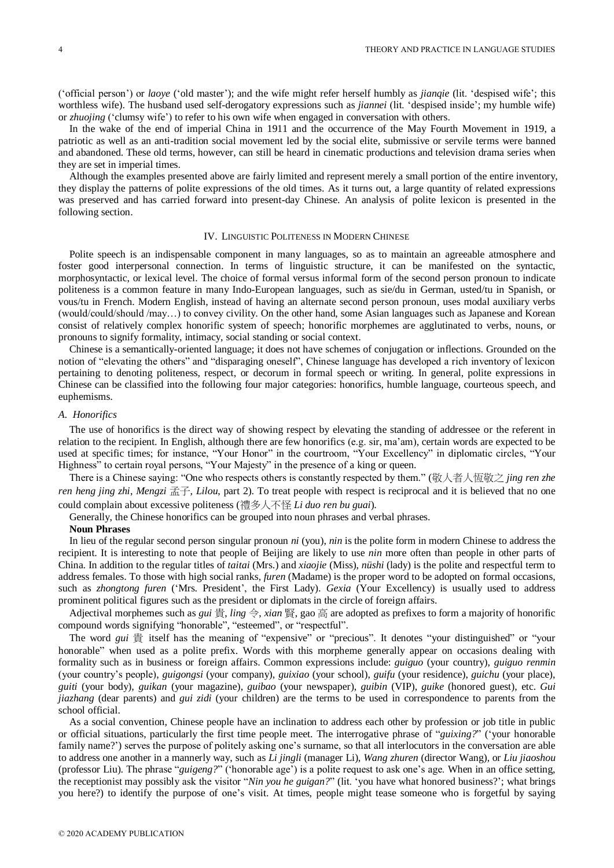('official person') or *laoye* ('old master'); and the wife might refer herself humbly as *jianqie* (lit. 'despised wife'; this worthless wife). The husband used self-derogatory expressions such as *jiannei* (lit. 'despised inside'; my humble wife) or *zhuojing* ('clumsy wife') to refer to his own wife when engaged in conversation with others.

In the wake of the end of imperial China in 1911 and the occurrence of the May Fourth Movement in 1919, a patriotic as well as an anti-tradition social movement led by the social elite, submissive or servile terms were banned and abandoned. These old terms, however, can still be heard in cinematic productions and television drama series when they are set in imperial times.

Although the examples presented above are fairly limited and represent merely a small portion of the entire inventory, they display the patterns of polite expressions of the old times. As it turns out, a large quantity of related expressions was preserved and has carried forward into present-day Chinese. An analysis of polite lexicon is presented in the following section.

#### IV. LINGUISTIC POLITENESS IN MODERN CHINESE

Polite speech is an indispensable component in many languages, so as to maintain an agreeable atmosphere and foster good interpersonal connection. In terms of linguistic structure, it can be manifested on the syntactic, morphosyntactic, or lexical level. The choice of formal versus informal form of the second person pronoun to indicate politeness is a common feature in many Indo-European languages, such as sie/du in German, usted/tu in Spanish, or vous/tu in French. Modern English, instead of having an alternate second person pronoun, uses modal auxiliary verbs (would/could/should /may…) to convey civility. On the other hand, some Asian languages such as Japanese and Korean consist of relatively complex honorific system of speech; honorific morphemes are agglutinated to verbs, nouns, or pronouns to signify formality, intimacy, social standing or social context.

Chinese is a semantically-oriented language; it does not have schemes of conjugation or inflections. Grounded on the notion of "elevating the others" and "disparaging oneself", Chinese language has developed a rich inventory of lexicon pertaining to denoting politeness, respect, or decorum in formal speech or writing. In general, polite expressions in Chinese can be classified into the following four major categories: honorifics, humble language, courteous speech, and euphemisms.

#### *A. Honorifics*

The use of honorifics is the direct way of showing respect by elevating the standing of addressee or the referent in relation to the recipient. In English, although there are few honorifics (e.g. sir, ma'am), certain words are expected to be used at specific times; for instance, "Your Honor" in the courtroom, "Your Excellency" in diplomatic circles, "Your Highness" to certain royal persons, "Your Majesty" in the presence of a king or queen.

There is a Chinese saying: "One who respects others is constantly respected by them." (敬人者人恆敬之 *jing ren zhe ren heng jing zhi*, *Mengzi* 孟子*, Lilou*, part 2). To treat people with respect is reciprocal and it is believed that no one could complain about excessive politeness (禮多人不怪 *Li duo ren bu guai*).

Generally, the Chinese honorifics can be grouped into noun phrases and verbal phrases.

#### **Noun Phrases**

In lieu of the regular second person singular pronoun *ni* (you), *nin* is the polite form in modern Chinese to address the recipient. It is interesting to note that people of Beijing are likely to use *nin* more often than people in other parts of China. In addition to the regular titles of *taitai* (Mrs.) and *xiaojie* (Miss), *nüshi* (lady) is the polite and respectful term to address females. To those with high social ranks, *furen* (Madame) is the proper word to be adopted on formal occasions, such as *zhongtong furen* ('Mrs. President', the First Lady). *Gexia* (Your Excellency) is usually used to address prominent political figures such as the president or diplomats in the circle of foreign affairs.

Adjectival morphemes such as *gui* 貴, *ling* 令, *xian* 賢, gao 高 are adopted as prefixes to form a majority of honorific compound words signifying "honorable", "esteemed", or "respectful".

The word *gui* 貴 itself has the meaning of "expensive" or "precious". It denotes "your distinguished" or "your honorable" when used as a polite prefix. Words with this morpheme generally appear on occasions dealing with formality such as in business or foreign affairs. Common expressions include: *guiguo* (your country), *guiguo renmin* (your country's people), *guigongsi* (your company), *guixiao* (your school), *guifu* (your residence), *guichu* (your place), *guiti* (your body), *guikan* (your magazine), *guibao* (your newspaper), *guibin* (VIP), *guike* (honored guest), etc. *Gui jiazhang* (dear parents) and *gui zidi* (your children) are the terms to be used in correspondence to parents from the school official.

As a social convention, Chinese people have an inclination to address each other by profession or job title in public or official situations, particularly the first time people meet. The interrogative phrase of "*guixing?*" ('your honorable family name?') serves the purpose of politely asking one's surname, so that all interlocutors in the conversation are able to address one another in a mannerly way, such as *Li jingli* (manager Li), *Wang zhuren* (director Wang), or *Liu jiaoshou* (professor Liu). The phrase "*guigeng?*" ('honorable age') is a polite request to ask one's age. When in an office setting, the receptionist may possibly ask the visitor "*Nin you he guigan?*" (lit. 'you have what honored business?'; what brings you here?) to identify the purpose of one's visit. At times, people might tease someone who is forgetful by saying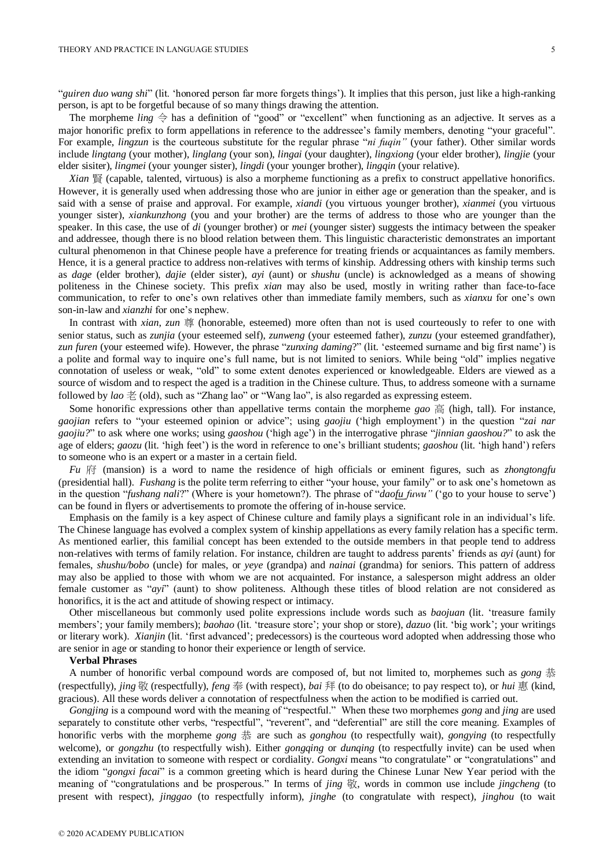"*guiren duo wang shi*" (lit. 'honored person far more forgets things'). It implies that this person, just like a high-ranking person, is apt to be forgetful because of so many things drawing the attention.

The morpheme *ling*  $\Leftrightarrow$  has a definition of "good" or "excellent" when functioning as an adjective. It serves as a major honorific prefix to form appellations in reference to the addressee's family members, denoting "your graceful". For example, *lingzun* is the courteous substitute for the regular phrase "*ni fuqin"* (your father). Other similar words include *lingtang* (your mother), *linglang* (your son), *lingai* (your daughter), *lingxiong* (your elder brother), *lingjie* (your elder sisiter), *lingmei* (your younger sister), *lingdi* (your younger brother), *lingqin* (your relative).

*Xian* 賢 (capable, talented, virtuous) is also a morpheme functioning as a prefix to construct appellative honorifics. However, it is generally used when addressing those who are junior in either age or generation than the speaker, and is said with a sense of praise and approval. For example, *xiandi* (you virtuous younger brother), *xianmei* (you virtuous younger sister), *xiankunzhong* (you and your brother) are the terms of address to those who are younger than the speaker. In this case, the use of *di* (younger brother) or *mei* (younger sister) suggests the intimacy between the speaker and addressee, though there is no blood relation between them. This linguistic characteristic demonstrates an important cultural phenomenon in that Chinese people have a preference for treating friends or acquaintances as family members. Hence, it is a general practice to address non-relatives with terms of kinship. Addressing others with kinship terms such as *dage* (elder brother), *dajie* (elder sister), *ayi* (aunt) or *shushu* (uncle) is acknowledged as a means of showing politeness in the Chinese society. This prefix *xian* may also be used, mostly in writing rather than face-to-face communication, to refer to one's own relatives other than immediate family members, such as *xianxu* for one's own son-in-law and *xianzhi* for one's nephew.

In contrast with *xian*, *zun* 尊 (honorable, esteemed) more often than not is used courteously to refer to one with senior status, such as *zunjia* (your esteemed self), *zunweng* (your esteemed father), *zunzu* (your esteemed grandfather), *zun furen* (your esteemed wife). However, the phrase "*zunxing daming*?" (lit. 'esteemed surname and big first name') is a polite and formal way to inquire one's full name, but is not limited to seniors. While being "old" implies negative connotation of useless or weak, "old" to some extent denotes experienced or knowledgeable. Elders are viewed as a source of wisdom and to respect the aged is a tradition in the Chinese culture. Thus, to address someone with a surname followed by *lao* 老 (old), such as "Zhang lao" or "Wang lao", is also regarded as expressing esteem.

Some honorific expressions other than appellative terms contain the morpheme *gao* 高 (high, tall). For instance, *gaojian* refers to "your esteemed opinion or advice"; using *gaojiu* ('high employment') in the question "*zai nar gaojiu?*" to ask where one works; using *gaoshou* ('high age') in the interrogative phrase "*jinnian gaoshou?*" to ask the age of elders; *gaozu* (lit. 'high feet') is the word in reference to one's brilliant students; *gaoshou* (lit. 'high hand') refers to someone who is an expert or a master in a certain field.

*Fu* 府 (mansion) is a word to name the residence of high officials or eminent figures, such as *zhongtongfu* (presidential hall). *Fushang* is the polite term referring to either "your house, your family" or to ask one's hometown as in the question "*fushang nali*?" (Where is your hometown?). The phrase of "*daofu fuwu"* ('go to your house to serve') can be found in flyers or advertisements to promote the offering of in-house service.

Emphasis on the family is a key aspect of Chinese culture and family plays a significant role in an individual's life. The Chinese language has evolved a complex system of kinship appellations as every family relation has a specific term. As mentioned earlier, this familial concept has been extended to the outside members in that people tend to address non-relatives with terms of family relation. For instance, children are taught to address parents' friends as *ayi* (aunt) for females, *shushu/bobo* (uncle) for males, or *yeye* (grandpa) and *nainai* (grandma) for seniors. This pattern of address may also be applied to those with whom we are not acquainted. For instance, a salesperson might address an older female customer as "*ayi*" (aunt) to show politeness. Although these titles of blood relation are not considered as honorifics, it is the act and attitude of showing respect or intimacy.

Other miscellaneous but commonly used polite expressions include words such as *baojuan* (lit. 'treasure family members'; your family members); *baohao* (lit. 'treasure store'; your shop or store), *dazuo* (lit. 'big work'; your writings or literary work). *Xianjin* (lit. 'first advanced'; predecessors) is the courteous word adopted when addressing those who are senior in age or standing to honor their experience or length of service.

#### **Verbal Phrases**

A number of honorific verbal compound words are composed of, but not limited to, morphemes such as *gong* 恭 (respectfully), *jing* 敬 (respectfully), *feng* 奉 (with respect), *bai* 拜 (to do obeisance; to pay respect to), or *hui* 惠 (kind, gracious). All these words deliver a connotation of respectfulness when the action to be modified is carried out.

*Gongjing* is a compound word with the meaning of "respectful." When these two morphemes *gong* and *jing* are used separately to constitute other verbs, "respectful", "reverent", and "deferential" are still the core meaning. Examples of honorific verbs with the morpheme *gong* 恭 are such as *gonghou* (to respectfully wait), *gongying* (to respectfully welcome), or *gongzhu* (to respectfully wish). Either *gongqing* or *dunqing* (to respectfully invite) can be used when extending an invitation to someone with respect or cordiality. *Gongxi* means "to congratulate" or "congratulations" and the idiom "*gongxi facai*" is a common greeting which is heard during the Chinese Lunar New Year period with the meaning of "congratulations and be prosperous." In terms of *jing 敬*, words in common use include *jingcheng* (to present with respect), *jinggao* (to respectfully inform), *jinghe* (to congratulate with respect), *jinghou* (to wait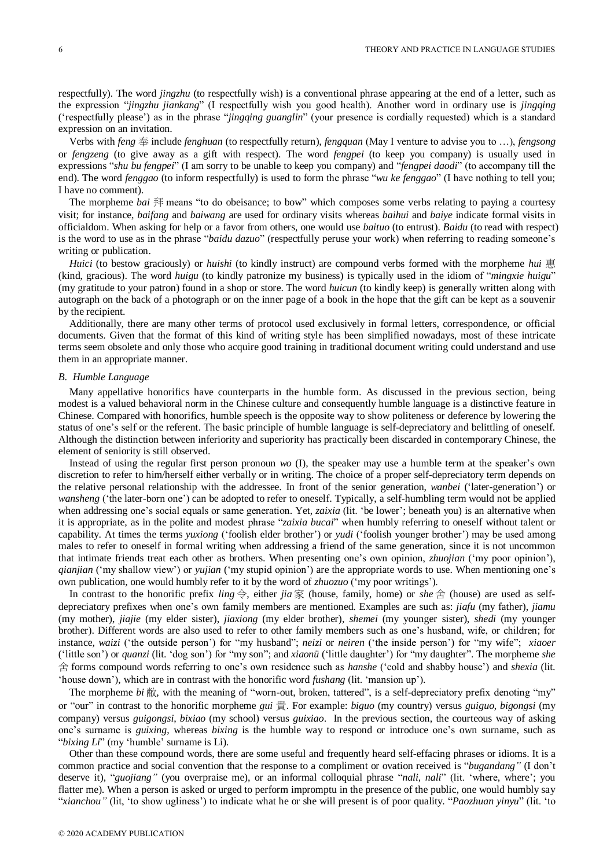respectfully). The word *jingzhu* (to respectfully wish) is a conventional phrase appearing at the end of a letter, such as the expression "*jingzhu jiankang*" (I respectfully wish you good health). Another word in ordinary use is *jingqing*  ('respectfully please') as in the phrase "*jingqing guanglin*" (your presence is cordially requested) which is a standard expression on an invitation.

Verbs with *feng* 奉 include *fenghuan* (to respectfully return), *fengquan* (May I venture to advise you to …), *fengsong* or *fengzeng* (to give away as a gift with respect). The word *fengpei* (to keep you company) is usually used in expressions "*shu bu fengpei*" (I am sorry to be unable to keep you company) and "*fengpei daodi*" (to accompany till the end). The word *fenggao* (to inform respectfully) is used to form the phrase "*wu ke fenggao*" (I have nothing to tell you; I have no comment).

The morpheme *bai* 拜 means "to do obeisance; to bow" which composes some verbs relating to paying a courtesy visit; for instance, *baifang* and *baiwang* are used for ordinary visits whereas *baihui* and *baiye* indicate formal visits in officialdom. When asking for help or a favor from others, one would use *baituo* (to entrust). *Baidu* (to read with respect) is the word to use as in the phrase "*baidu dazuo*" (respectfully peruse your work) when referring to reading someone's writing or publication.

*Huici* (to bestow graciously) or *huishi* (to kindly instruct) are compound verbs formed with the morpheme *hui* 惠 (kind, gracious). The word *huigu* (to kindly patronize my business) is typically used in the idiom of "*mingxie huigu*" (my gratitude to your patron) found in a shop or store. The word *huicun* (to kindly keep) is generally written along with autograph on the back of a photograph or on the inner page of a book in the hope that the gift can be kept as a souvenir by the recipient.

Additionally, there are many other terms of protocol used exclusively in formal letters, correspondence, or official documents. Given that the format of this kind of writing style has been simplified nowadays, most of these intricate terms seem obsolete and only those who acquire good training in traditional document writing could understand and use them in an appropriate manner.

#### *B. Humble Language*

Many appellative honorifics have counterparts in the humble form. As discussed in the previous section, being modest is a valued behavioral norm in the Chinese culture and consequently humble language is a distinctive feature in Chinese. Compared with honorifics, humble speech is the opposite way to show politeness or deference by lowering the status of one's self or the referent. The basic principle of humble language is self-depreciatory and belittling of oneself. Although the distinction between inferiority and superiority has practically been discarded in contemporary Chinese, the element of seniority is still observed.

Instead of using the regular first person pronoun *wo* (I), the speaker may use a humble term at the speaker's own discretion to refer to him/herself either verbally or in writing. The choice of a proper self-depreciatory term depends on the relative personal relationship with the addressee. In front of the senior generation, *wanbei* ('later-generation') or *wansheng* ('the later-born one') can be adopted to refer to oneself. Typically, a self-humbling term would not be applied when addressing one's social equals or same generation. Yet, *zaixia* (lit. 'be lower'; beneath you) is an alternative when it is appropriate, as in the polite and modest phrase "*zaixia bucai*" when humbly referring to oneself without talent or capability. At times the terms *yuxiong* ('foolish elder brother') or *yudi* ('foolish younger brother') may be used among males to refer to oneself in formal writing when addressing a friend of the same generation, since it is not uncommon that intimate friends treat each other as brothers. When presenting one's own opinion, *zhuojian* ('my poor opinion'), *qianjian* ('my shallow view') or *yujian* ('my stupid opinion') are the appropriate words to use. When mentioning one's own publication, one would humbly refer to it by the word of *zhuozuo* ('my poor writings').

In contrast to the honorific prefix *ling* 令, either *jia* 家 (house, family, home) or *she* 舍 (house) are used as selfdepreciatory prefixes when one's own family members are mentioned. Examples are such as: *jiafu* (my father), *jiamu* (my mother), *jiajie* (my elder sister), *jiaxiong* (my elder brother), *shemei* (my younger sister), *shedi* (my younger brother). Different words are also used to refer to other family members such as one's husband, wife, or children; for instance, *waizi* ('the outside person') for "my husband"; *neizi* or *neiren* ('the inside person') for "my wife"; *xiaoer* ('little son') or *quanzi* (lit. 'dog son') for "my son"; and *xiaonü*('little daughter') for "my daughter". The morpheme *she* 舍 forms compound words referring to one's own residence such as *hanshe* ('cold and shabby house') and *shexia* (lit. 'house down'), which are in contrast with the honorific word *fushang* (lit. 'mansion up').

The morpheme *bi* 敝, with the meaning of "worn-out, broken, tattered", is a self-depreciatory prefix denoting "my" or "our" in contrast to the honorific morpheme *gui* 貴. For example: *biguo* (my country) versus *guiguo*, *bigongsi* (my company) versus *guigongsi*, *bixiao* (my school) versus *guixiao*. In the previous section, the courteous way of asking one's surname is *guixing*, whereas *bixing* is the humble way to respond or introduce one's own surname, such as "*bixing Li*" (my 'humble' surname is Li).

Other than these compound words, there are some useful and frequently heard self-effacing phrases or idioms. It is a common practice and social convention that the response to a compliment or ovation received is "*bugandang"* (I don't deserve it), "*guojiang"* (you overpraise me), or an informal colloquial phrase "*nali, nali*" (lit. 'where, where'; you flatter me). When a person is asked or urged to perform impromptu in the presence of the public, one would humbly say "*xianchou"* (lit, 'to show ugliness') to indicate what he or she will present is of poor quality. "*Paozhuan yinyu*" (lit. 'to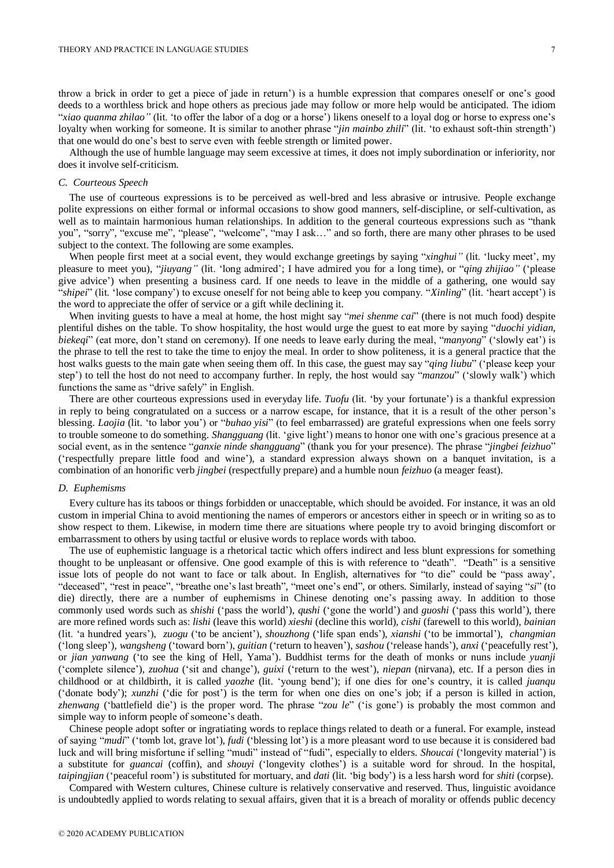throw a brick in order to get a piece of jade in return') is a humble expression that compares oneself or one's good deeds to a worthless brick and hope others as precious jade may follow or more help would be anticipated. The idiom "*xiao quanma zhilao"* (lit. 'to offer the labor of a dog or a horse') likens oneself to a loyal dog or horse to express one's loyalty when working for someone. It is similar to another phrase "*jin mainbo zhili*" (lit. 'to exhaust soft-thin strength') that one would do one's best to serve even with feeble strength or limited power.

Although the use of humble language may seem excessive at times, it does not imply subordination or inferiority, nor does it involve self-criticism.

#### *C. Courteous Speech*

The use of courteous expressions is to be perceived as well-bred and less abrasive or intrusive. People exchange polite expressions on either formal or informal occasions to show good manners, self-discipline, or self-cultivation, as well as to maintain harmonious human relationships. In addition to the general courteous expressions such as "thank you", "sorry", "excuse me", "please", "welcome", "may I ask…" and so forth, there are many other phrases to be used subject to the context. The following are some examples.

When people first meet at a social event, they would exchange greetings by saying "*xinghui*" (lit. 'lucky meet', my pleasure to meet you), "*jiuyang"* (lit. 'long admired'; I have admired you for a long time), or "*qing zhijiao"* ('please give advice') when presenting a business card. If one needs to leave in the middle of a gathering, one would say "*shipei*" (lit. 'lose company') to excuse oneself for not being able to keep you company. "*Xinling*" (lit. 'heart accept') is the word to appreciate the offer of service or a gift while declining it.

When inviting guests to have a meal at home, the host might say "*mei shenme cai*" (there is not much food) despite plentiful dishes on the table. To show hospitality, the host would urge the guest to eat more by saying "*duochi yidian, biekeqi*" (eat more, don't stand on ceremony). If one needs to leave early during the meal, "*manyong*" ('slowly eat') is the phrase to tell the rest to take the time to enjoy the meal. In order to show politeness, it is a general practice that the host walks guests to the main gate when seeing them off. In this case, the guest may say "*qing liubu*" ('please keep your step') to tell the host do not need to accompany further. In reply, the host would say "*manzou*" ('slowly walk') which functions the same as "drive safely" in English.

There are other courteous expressions used in everyday life. *Tuofu* (lit. 'by your fortunate') is a thankful expression in reply to being congratulated on a success or a narrow escape, for instance, that it is a result of the other person's blessing. *Laojia* (lit. 'to labor you') or "*buhao yisi*" (to feel embarrassed) are grateful expressions when one feels sorry to trouble someone to do something. *Shangguang* (lit. 'give light') means to honor one with one's gracious presence at a social event, as in the sentence "*ganxie ninde shangguang*" (thank you for your presence). The phrase "*jingbei feizhuo*" ('respectfully prepare little food and wine'), a standard expression always shown on a banquet invitation, is a combination of an honorific verb *jingbei* (respectfully prepare) and a humble noun *feizhuo* (a meager feast).

#### *D. Euphemisms*

Every culture has its taboos or things forbidden or unacceptable, which should be avoided. For instance, it was an old custom in imperial China to avoid mentioning the names of emperors or ancestors either in speech or in writing so as to show respect to them. Likewise, in modern time there are situations where people try to avoid bringing discomfort or embarrassment to others by using tactful or elusive words to replace words with taboo.

The use of euphemistic language is a rhetorical tactic which offers indirect and less blunt expressions for something thought to be unpleasant or offensive. One good example of this is with reference to "death". "Death" is a sensitive issue lots of people do not want to face or talk about. In English, alternatives for "to die" could be "pass away', "deceased", "rest in peace", "breathe one's last breath", "meet one's end", or others. Similarly, instead of saying "*si*" (to die) directly, there are a number of euphemisms in Chinese denoting one's passing away. In addition to those commonly used words such as *shishi* ('pass the world'), *qushi* ('gone the world') and *guoshi* ('pass this world'), there are more refined words such as: *lishi* (leave this world) *xieshi* (decline this world), *cishi* (farewell to this world), *bainian* (lit. 'a hundred years'), *zuogu* ('to be ancient'), *shouzhong* ('life span ends'), *xianshi* ('to be immortal'), *changmian*  ('long sleep'), *wangsheng* ('toward born'), *guitian* ('return to heaven'), *sashou* ('release hands'), *anxi* ('peacefully rest'), or *jian yanwang* ('to see the king of Hell, Yama'). Buddhist terms for the death of monks or nuns include *yuanji* ('complete silence'), *zuohua* ('sit and change'), *guixi* ('return to the west'), *niepan* (nirvana), etc. If a person dies in childhood or at childbirth, it is called *yaozhe* (lit. 'young bend'); if one dies for one's country, it is called *juanqu*  ('donate body'); *xunzhi* ('die for post') is the term for when one dies on one's job; if a person is killed in action, *zhenwang* ('battlefield die') is the proper word. The phrase "*zou le*" ('is gone') is probably the most common and simple way to inform people of someone's death.

Chinese people adopt softer or ingratiating words to replace things related to death or a funeral. For example, instead of saying "*mudi*" ('tomb lot, grave lot'), *fudi* ('blessing lot') is a more pleasant word to use because it is considered bad luck and will bring misfortune if selling "mudi" instead of "fudi", especially to elders. *Shoucai* ('longevity material') is a substitute for *guancai* (coffin), and *shouyi* ('longevity clothes') is a suitable word for shroud. In the hospital, *taipingjian* ('peaceful room') is substituted for mortuary, and *dati* (lit. 'big body') is a less harsh word for *shiti* (corpse).

Compared with Western cultures, Chinese culture is relatively conservative and reserved. Thus, linguistic avoidance is undoubtedly applied to words relating to sexual affairs, given that it is a breach of morality or offends public decency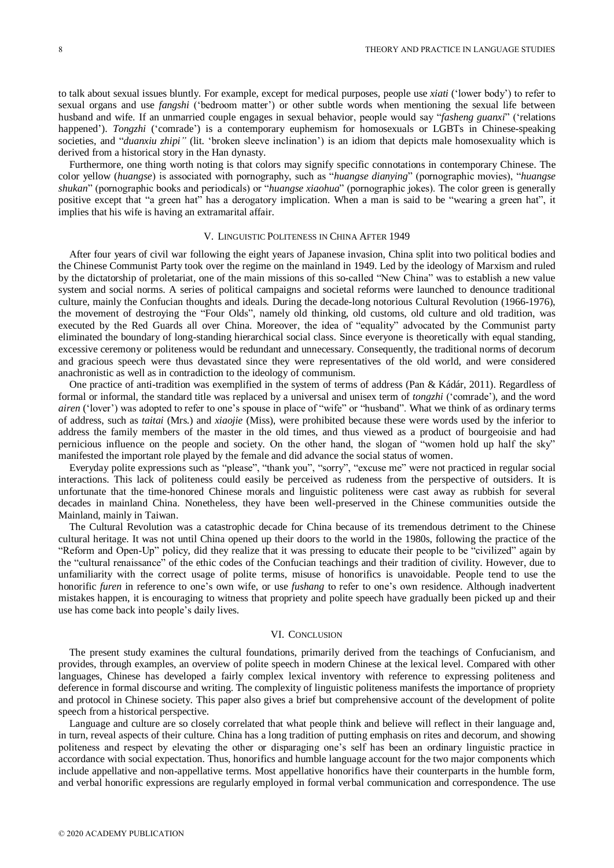to talk about sexual issues bluntly. For example, except for medical purposes, people use *xiati* ('lower body') to refer to sexual organs and use *fangshi* ('bedroom matter') or other subtle words when mentioning the sexual life between husband and wife. If an unmarried couple engages in sexual behavior, people would say "*fasheng guanxi*" ('relations happened'). *Tongzhi* ('comrade') is a contemporary euphemism for homosexuals or LGBTs in Chinese-speaking societies, and "*duanxiu zhipi"* (lit. 'broken sleeve inclination') is an idiom that depicts male homosexuality which is derived from a historical story in the Han dynasty.

Furthermore, one thing worth noting is that colors may signify specific connotations in contemporary Chinese. The color yellow (*huangse*) is associated with pornography, such as "*huangse dianying*" (pornographic movies), "*huangse shukan*" (pornographic books and periodicals) or "*huangse xiaohua*" (pornographic jokes). The color green is generally positive except that "a green hat" has a derogatory implication. When a man is said to be "wearing a green hat", it implies that his wife is having an extramarital affair.

#### V. LINGUISTIC POLITENESS IN CHINA AFTER 1949

After four years of civil war following the eight years of Japanese invasion, China split into two political bodies and the Chinese Communist Party took over the regime on the mainland in 1949. Led by the ideology of Marxism and ruled by the dictatorship of proletariat, one of the main missions of this so-called "New China" was to establish a new value system and social norms. A series of political campaigns and societal reforms were launched to denounce traditional culture, mainly the Confucian thoughts and ideals. During the decade-long notorious Cultural Revolution (1966-1976), the movement of destroying the "Four Olds", namely old thinking, old customs, old culture and old tradition, was executed by the Red Guards all over China. Moreover, the idea of "equality" advocated by the Communist party eliminated the boundary of long-standing hierarchical social class. Since everyone is theoretically with equal standing, excessive ceremony or politeness would be redundant and unnecessary. Consequently, the traditional norms of decorum and gracious speech were thus devastated since they were representatives of the old world, and were considered anachronistic as well as in contradiction to the ideology of communism.

One practice of anti-tradition was exemplified in the system of terms of address (Pan & K ád ár, 2011). Regardless of formal or informal, the standard title was replaced by a universal and unisex term of *tongzhi* ('comrade'), and the word *airen* ('lover') was adopted to refer to one's spouse in place of "wife" or "husband". What we think of as ordinary terms of address, such as *taitai* (Mrs.) and *xiaojie* (Miss), were prohibited because these were words used by the inferior to address the family members of the master in the old times, and thus viewed as a product of bourgeoisie and had pernicious influence on the people and society. On the other hand, the slogan of "women hold up half the sky" manifested the important role played by the female and did advance the social status of women.

Everyday polite expressions such as "please", "thank you", "sorry", "excuse me" were not practiced in regular social interactions. This lack of politeness could easily be perceived as rudeness from the perspective of outsiders. It is unfortunate that the time-honored Chinese morals and linguistic politeness were cast away as rubbish for several decades in mainland China. Nonetheless, they have been well-preserved in the Chinese communities outside the Mainland, mainly in Taiwan.

The Cultural Revolution was a catastrophic decade for China because of its tremendous detriment to the Chinese cultural heritage. It was not until China opened up their doors to the world in the 1980s, following the practice of the "Reform and Open-Up" policy, did they realize that it was pressing to educate their people to be "civilized" again by the "cultural renaissance" of the ethic codes of the Confucian teachings and their tradition of civility. However, due to unfamiliarity with the correct usage of polite terms, misuse of honorifics is unavoidable. People tend to use the honorific *furen* in reference to one's own wife, or use *fushang* to refer to one's own residence. Although inadvertent mistakes happen, it is encouraging to witness that propriety and polite speech have gradually been picked up and their use has come back into people's daily lives.

#### VI. CONCLUSION

The present study examines the cultural foundations, primarily derived from the teachings of Confucianism, and provides, through examples, an overview of polite speech in modern Chinese at the lexical level. Compared with other languages, Chinese has developed a fairly complex lexical inventory with reference to expressing politeness and deference in formal discourse and writing. The complexity of linguistic politeness manifests the importance of propriety and protocol in Chinese society. This paper also gives a brief but comprehensive account of the development of polite speech from a historical perspective.

Language and culture are so closely correlated that what people think and believe will reflect in their language and, in turn, reveal aspects of their culture. China has a long tradition of putting emphasis on rites and decorum, and showing politeness and respect by elevating the other or disparaging one's self has been an ordinary linguistic practice in accordance with social expectation. Thus, honorifics and humble language account for the two major components which include appellative and non-appellative terms. Most appellative honorifics have their counterparts in the humble form, and verbal honorific expressions are regularly employed in formal verbal communication and correspondence. The use